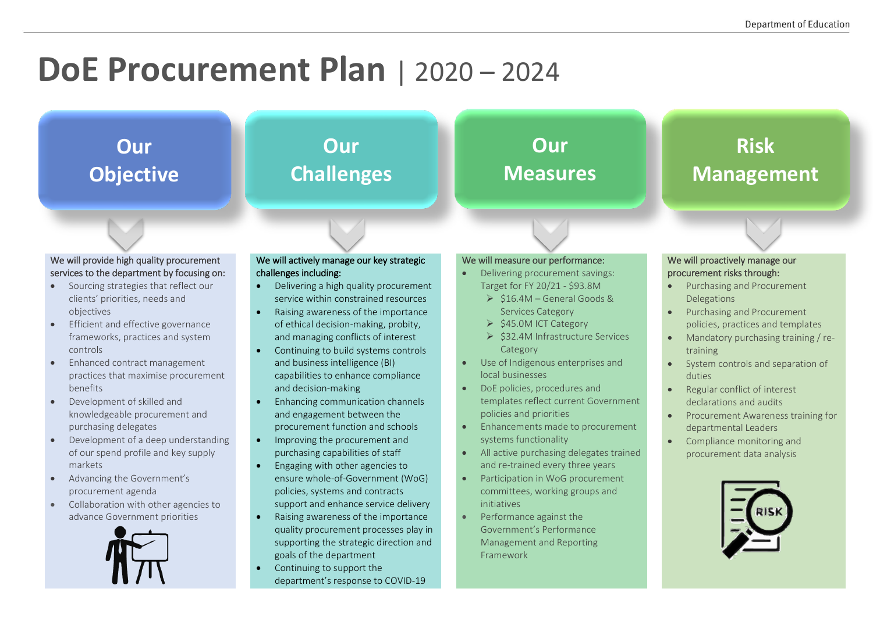## **DoE Procurement Plan** | 2020 – 2024